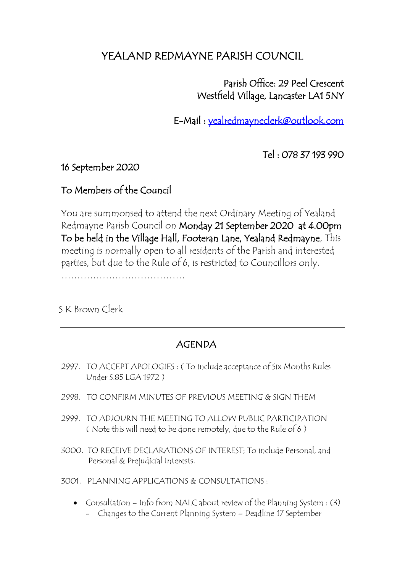## YEALAND REDMAYNE PARISH COUNCIL

 Parish Office: 29 Peel Crescent Westfield Village, Lancaster LA1 5NY

E-Mail : [yealredmayneclerk@outlook.com](mailto:yealredmayneclerk@outlook.com) 

Tel : 078 37 193 990

16 September 2020

## To Members of the Council

You are summonsed to attend the next Ordinary Meeting of Yealand Redmayne Parish Council on Monday 21 September 2020 at 4.00pm To be held in the Village Hall, Footeran Lane, Yealand Redmayne, This meeting is normally open to all residents of the Parish and interested parties, but due to the Rule of 6, is restricted to Councillors only.

…………………………………

S K Brown Clerk

## AGENDA

- 2997. TO ACCEPT APOLOGIES : ( To include acceptance of Six Months Rules Under S.85 LGA 1972 )
- 2998. TO CONFIRM MINUTES OF PREVIOUS MEETING & SIGN THEM
- 2999. TO ADJOURN THE MEETING TO ALLOW PUBLIC PARTICIPATION ( Note this will need to be done remotely, due to the Rule of 6 )
- 3000. TO RECEIVE DECLARATIONS OF INTEREST; To include Personal, and Personal & Prejudicial Interests.

3001. PLANNING APPLICATIONS & CONSULTATIONS :

• Consultation – Info from NALC about review of the Planning System : (3) - Changes to the Current Planning System – Deadline 17 September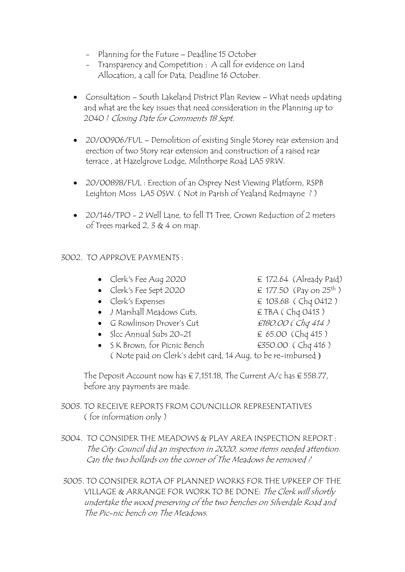- Planning for the Future Deadline 15 October
- Transparency and Competition : A call for evidence on Land Allocation, a call for Data, Deadline 16 October.
- Consultation South Lakeland District Plan Review What needs updating and what are the key issues that need consideration in the Planning up to 2040 ? Closing Date for Comments 18 Sept.
- 20/00906/FUL Demolition of existing Single Storey rear extension and erection of two Story rear extension and construction of a raised rear terrace , at Hazelgrove Lodge, Milnthorpe Road LA5 9RW.
- 20/00898/FUL : Erection of an Osprey Nest Viewing Platform, RSPB Leighton Moss LA5 0SW. ( Not in Parish of Yealand Redmayne ? )
- 20/146/TPO 2 Well Lane, to fell T1 Tree, Crown Reduction of 2 meters of Trees marked 2, 3  $& 4$  on map.

## 3002. TO APPROVE PAYMENTS :

- Clerk's Fee Aug 2020  $\epsilon$  172.64 (Already Paid)
- Clerk's Fee Sept 2020  $\epsilon$  177.50 (Pay on 25<sup>th</sup>)
- Clerk's Expenses  $\epsilon$  103.68 (Chq 0412)
- J Marshall Meadows Cuts, E TBA ( Chq 0413 )
- G Rowlinson Drover's Cut  $£180.00$  (Chq 414)
- Slcc Annual Subs 20-21  $\epsilon$  65.00 (Chq 415)
- S K Brown, for Picnic Bench **£350.00** (Chq 416) ( Note paid on Clerk's debit card, 14 Aug, to be re-imbursed )

The Deposit Account now has  $\epsilon$  7,151.18, The Current A/c has  $\epsilon$  558.77, before any payments are made.

- 3003. TO RECEIVE REPORTS FROM COUNCILLOR REPRESENTATIVES ( for information only )
- 3004. TO CONSIDER THE MEADOWS & PLAY AREA INSPECTION REPORT : The City Council did an inspection in 2020, some items needed attention. Can the two bollards on the corner of The Meadows be removed ?
- 3005. TO CONSIDER ROTA OF PLANNED WORKS FOR THE UPKEEP OF THE VILLAGE & ARRANGE FOR WORK TO BE DONE: The Clerk will shortly undertake the wood preserving of the two benches on Silverdale Road and The Pic-nic bench on The Meadows.
- 
- 
- 
- 
- 
- 
-